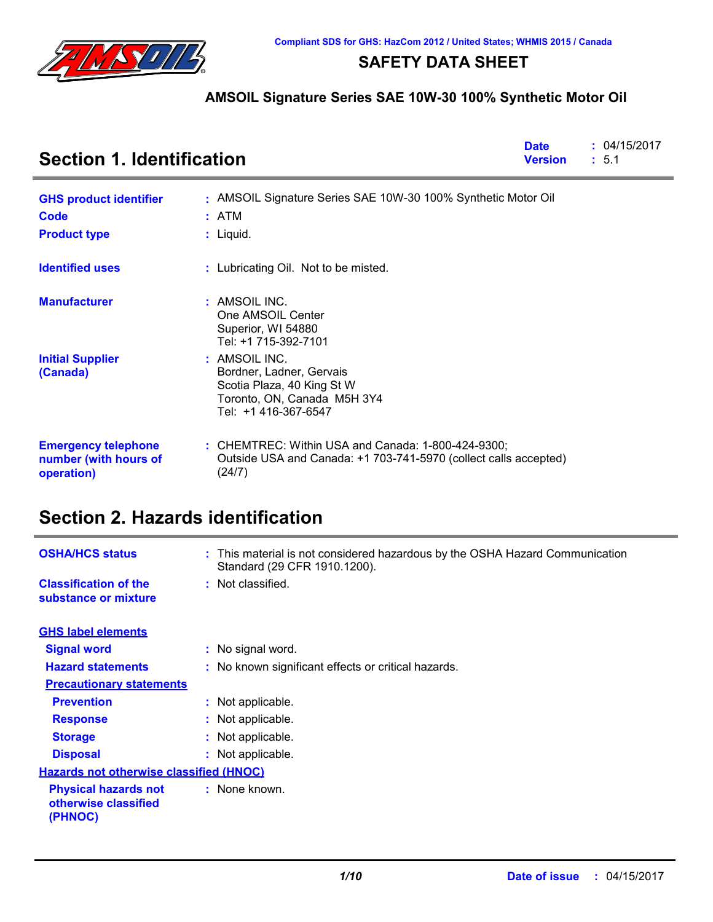

### **SAFETY DATA SHEET**

### **AMSOIL Signature Series SAE 10W-30 100% Synthetic Motor Oil**

| <b>Section 1. Identification</b>                                  |                                                                                                                                  |  | : 04/15/2017<br>: 5.1 |
|-------------------------------------------------------------------|----------------------------------------------------------------------------------------------------------------------------------|--|-----------------------|
| <b>GHS product identifier</b>                                     | : AMSOIL Signature Series SAE 10W-30 100% Synthetic Motor Oil                                                                    |  |                       |
| Code                                                              | : ATM                                                                                                                            |  |                       |
| <b>Product type</b>                                               | $:$ Liquid.                                                                                                                      |  |                       |
| <b>Identified uses</b>                                            | : Lubricating Oil. Not to be misted.                                                                                             |  |                       |
| <b>Manufacturer</b>                                               | : AMSOIL INC.<br>One AMSOIL Center<br>Superior, WI 54880<br>Tel: +1 715-392-7101                                                 |  |                       |
| <b>Initial Supplier</b><br>(Canada)                               | : AMSOIL INC.<br>Bordner, Ladner, Gervais<br>Scotia Plaza, 40 King St W<br>Toronto, ON, Canada M5H 3Y4<br>Tel: +1 416-367-6547   |  |                       |
| <b>Emergency telephone</b><br>number (with hours of<br>operation) | : CHEMTREC: Within USA and Canada: 1-800-424-9300;<br>Outside USA and Canada: +1 703-741-5970 (collect calls accepted)<br>(24/7) |  |                       |

# **Section 2. Hazards identification**

| <b>OSHA/HCS status</b>                                         | : This material is not considered hazardous by the OSHA Hazard Communication<br>Standard (29 CFR 1910.1200). |
|----------------------------------------------------------------|--------------------------------------------------------------------------------------------------------------|
| <b>Classification of the</b><br>substance or mixture           | : Not classified.                                                                                            |
| <b>GHS label elements</b>                                      |                                                                                                              |
| <b>Signal word</b>                                             | : No signal word.                                                                                            |
| <b>Hazard statements</b>                                       | : No known significant effects or critical hazards.                                                          |
| <b>Precautionary statements</b>                                |                                                                                                              |
| <b>Prevention</b>                                              | : Not applicable.                                                                                            |
| <b>Response</b>                                                | : Not applicable.                                                                                            |
| <b>Storage</b>                                                 | : Not applicable.                                                                                            |
| <b>Disposal</b>                                                | : Not applicable.                                                                                            |
| <b>Hazards not otherwise classified (HNOC)</b>                 |                                                                                                              |
| <b>Physical hazards not</b><br>otherwise classified<br>(PHNOC) | : None known.                                                                                                |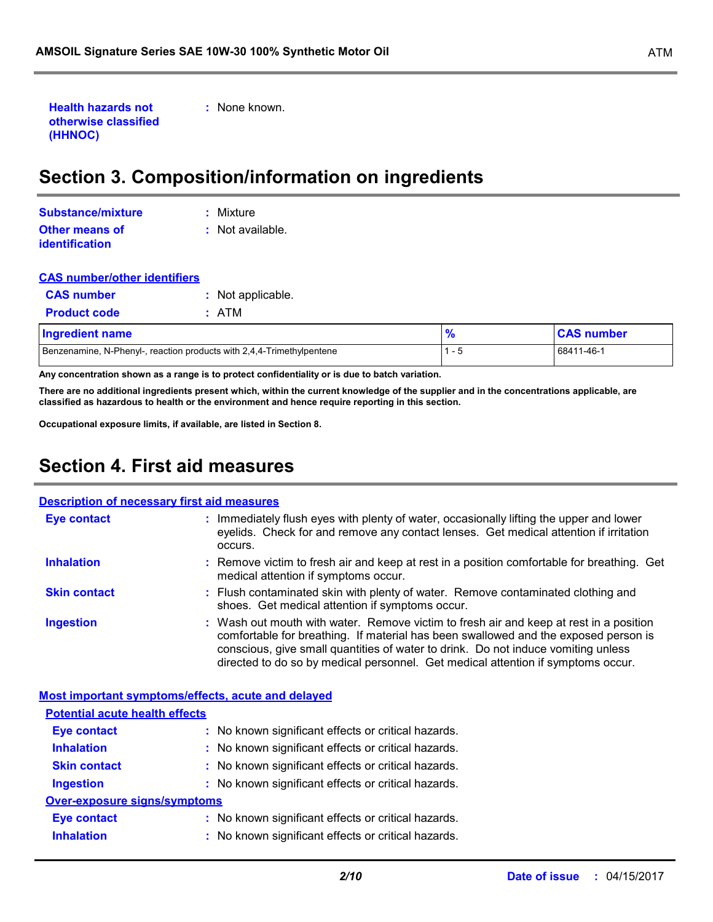```
Health hazards not 
otherwise classified 
(HHNOC)
```
**:** None known.

# **Section 3. Composition/information on ingredients**

| Substance/mixture     | : Mixture        |
|-----------------------|------------------|
| Other means of        | : Not available. |
| <b>identification</b> |                  |

| <b>CAS number/other identifiers</b> |                                                                       |               |                   |
|-------------------------------------|-----------------------------------------------------------------------|---------------|-------------------|
| <b>CAS number</b>                   | : Not applicable.                                                     |               |                   |
| <b>Product code</b>                 | : ATM                                                                 |               |                   |
| Ingredient name                     |                                                                       | $\frac{9}{6}$ | <b>CAS number</b> |
|                                     | Benzenamine, N-Phenyl-, reaction products with 2,4,4-Trimethylpentene | - 5           | 68411-46-1        |

**Any concentration shown as a range is to protect confidentiality or is due to batch variation.**

**There are no additional ingredients present which, within the current knowledge of the supplier and in the concentrations applicable, are classified as hazardous to health or the environment and hence require reporting in this section.**

**Occupational exposure limits, if available, are listed in Section 8.**

### **Section 4. First aid measures**

| <b>Description of necessary first aid measures</b> |                                                                                                                                                                                                                                                                                                                                                        |  |
|----------------------------------------------------|--------------------------------------------------------------------------------------------------------------------------------------------------------------------------------------------------------------------------------------------------------------------------------------------------------------------------------------------------------|--|
| Eye contact                                        | : Immediately flush eyes with plenty of water, occasionally lifting the upper and lower<br>eyelids. Check for and remove any contact lenses. Get medical attention if irritation<br>occurs.                                                                                                                                                            |  |
| <b>Inhalation</b>                                  | : Remove victim to fresh air and keep at rest in a position comfortable for breathing. Get<br>medical attention if symptoms occur.                                                                                                                                                                                                                     |  |
| <b>Skin contact</b>                                | : Flush contaminated skin with plenty of water. Remove contaminated clothing and<br>shoes. Get medical attention if symptoms occur.                                                                                                                                                                                                                    |  |
| <b>Ingestion</b>                                   | : Wash out mouth with water. Remove victim to fresh air and keep at rest in a position<br>comfortable for breathing. If material has been swallowed and the exposed person is<br>conscious, give small quantities of water to drink. Do not induce vomiting unless<br>directed to do so by medical personnel. Get medical attention if symptoms occur. |  |
|                                                    |                                                                                                                                                                                                                                                                                                                                                        |  |
|                                                    | <b>Most important symptoms/effects, acute and delayed</b>                                                                                                                                                                                                                                                                                              |  |
| <b>Potential acute health effects</b>              |                                                                                                                                                                                                                                                                                                                                                        |  |
| <b>Eye contact</b>                                 | : No known significant effects or critical hazards.                                                                                                                                                                                                                                                                                                    |  |
| <b>Inhalation</b>                                  | : No known significant effects or critical hazards.                                                                                                                                                                                                                                                                                                    |  |
| <b>Skin contact</b>                                | : No known significant effects or critical hazards.                                                                                                                                                                                                                                                                                                    |  |
| <b>Ingestion</b>                                   | : No known significant effects or critical hazards.                                                                                                                                                                                                                                                                                                    |  |
| <b>Over-exposure signs/symptoms</b>                |                                                                                                                                                                                                                                                                                                                                                        |  |
| <b>Eye contact</b>                                 | : No known significant effects or critical hazards.                                                                                                                                                                                                                                                                                                    |  |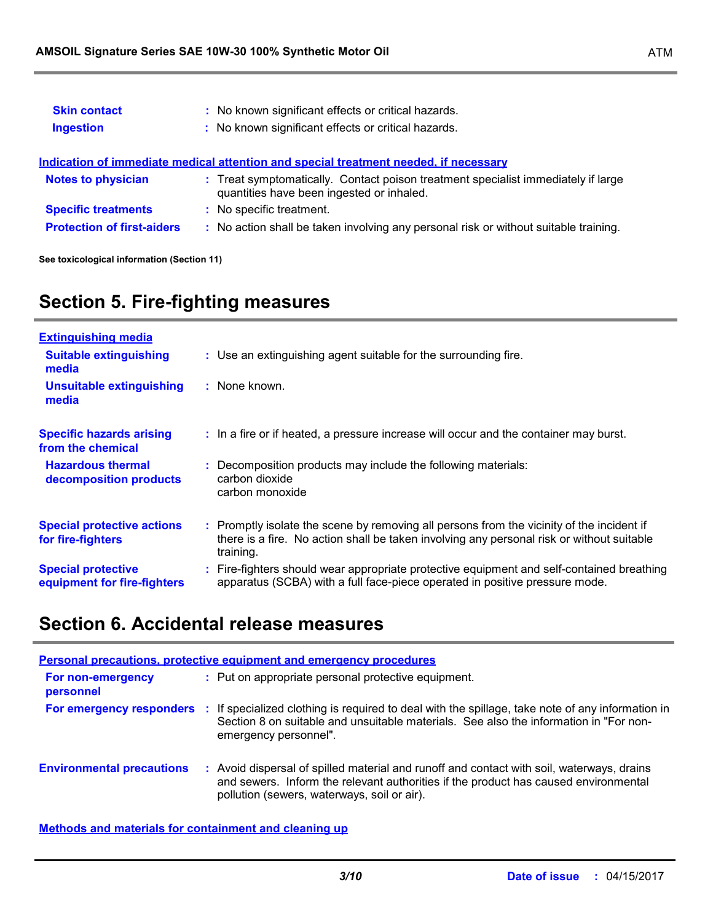| <b>Skin contact</b><br><b>Ingestion</b> | : No known significant effects or critical hazards.<br>: No known significant effects or critical hazards.                     |  |
|-----------------------------------------|--------------------------------------------------------------------------------------------------------------------------------|--|
|                                         | Indication of immediate medical attention and special treatment needed, if necessary                                           |  |
| <b>Notes to physician</b>               | : Treat symptomatically. Contact poison treatment specialist immediately if large<br>quantities have been ingested or inhaled. |  |
| <b>Specific treatments</b>              | : No specific treatment.                                                                                                       |  |
| <b>Protection of first-aiders</b>       | : No action shall be taken involving any personal risk or without suitable training.                                           |  |

**See toxicological information (Section 11)**

# **Section 5. Fire-fighting measures**

| <b>Extinguishing media</b>                               |                                                                                                                                                                                                     |
|----------------------------------------------------------|-----------------------------------------------------------------------------------------------------------------------------------------------------------------------------------------------------|
| <b>Suitable extinguishing</b><br>media                   | : Use an extinguishing agent suitable for the surrounding fire.                                                                                                                                     |
| <b>Unsuitable extinguishing</b><br>media                 | : None known.                                                                                                                                                                                       |
| <b>Specific hazards arising</b><br>from the chemical     | : In a fire or if heated, a pressure increase will occur and the container may burst.                                                                                                               |
| <b>Hazardous thermal</b><br>decomposition products       | Decomposition products may include the following materials:<br>carbon dioxide<br>carbon monoxide                                                                                                    |
| <b>Special protective actions</b><br>for fire-fighters   | : Promptly isolate the scene by removing all persons from the vicinity of the incident if<br>there is a fire. No action shall be taken involving any personal risk or without suitable<br>training. |
| <b>Special protective</b><br>equipment for fire-fighters | : Fire-fighters should wear appropriate protective equipment and self-contained breathing<br>apparatus (SCBA) with a full face-piece operated in positive pressure mode.                            |

### **Section 6. Accidental release measures**

| <b>Personal precautions, protective equipment and emergency procedures</b> |     |                                                                                                                                                                                                                               |
|----------------------------------------------------------------------------|-----|-------------------------------------------------------------------------------------------------------------------------------------------------------------------------------------------------------------------------------|
| For non-emergency<br>personnel                                             |     | : Put on appropriate personal protective equipment.                                                                                                                                                                           |
| For emergency responders                                                   | -11 | If specialized clothing is required to deal with the spillage, take note of any information in<br>Section 8 on suitable and unsuitable materials. See also the information in "For non-<br>emergency personnel".              |
| <b>Environmental precautions</b>                                           | ÷.  | Avoid dispersal of spilled material and runoff and contact with soil, waterways, drains<br>and sewers. Inform the relevant authorities if the product has caused environmental<br>pollution (sewers, waterways, soil or air). |

**Methods and materials for containment and cleaning up**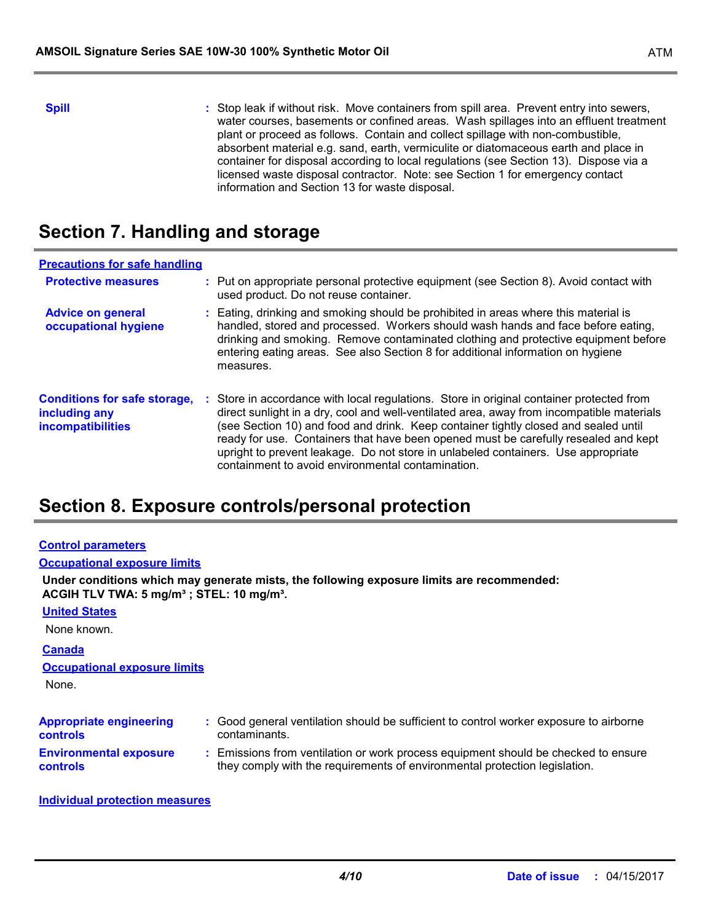**Spill** Stop leak if without risk. Move containers from spill area. Prevent entry into sewers, water courses, basements or confined areas. Wash spillages into an effluent treatment plant or proceed as follows. Contain and collect spillage with non-combustible, absorbent material e.g. sand, earth, vermiculite or diatomaceous earth and place in container for disposal according to local regulations (see Section 13). Dispose via a licensed waste disposal contractor. Note: see Section 1 for emergency contact information and Section 13 for waste disposal.

### **Section 7. Handling and storage**

| <b>Precautions for safe handling</b>                                             |                                                                                                                                                                                                                                                                                                                                                                                                                                                                                                               |
|----------------------------------------------------------------------------------|---------------------------------------------------------------------------------------------------------------------------------------------------------------------------------------------------------------------------------------------------------------------------------------------------------------------------------------------------------------------------------------------------------------------------------------------------------------------------------------------------------------|
| <b>Protective measures</b>                                                       | : Put on appropriate personal protective equipment (see Section 8). Avoid contact with<br>used product. Do not reuse container.                                                                                                                                                                                                                                                                                                                                                                               |
| <b>Advice on general</b><br>occupational hygiene                                 | : Eating, drinking and smoking should be prohibited in areas where this material is<br>handled, stored and processed. Workers should wash hands and face before eating,<br>drinking and smoking. Remove contaminated clothing and protective equipment before<br>entering eating areas. See also Section 8 for additional information on hygiene<br>measures.                                                                                                                                                 |
| <b>Conditions for safe storage,</b><br>including any<br><b>incompatibilities</b> | : Store in accordance with local regulations. Store in original container protected from<br>direct sunlight in a dry, cool and well-ventilated area, away from incompatible materials<br>(see Section 10) and food and drink. Keep container tightly closed and sealed until<br>ready for use. Containers that have been opened must be carefully resealed and kept<br>upright to prevent leakage. Do not store in unlabeled containers. Use appropriate<br>containment to avoid environmental contamination. |

### **Section 8. Exposure controls/personal protection**

| <b>Control parameters</b>                                         |                                                                                                                                                                  |
|-------------------------------------------------------------------|------------------------------------------------------------------------------------------------------------------------------------------------------------------|
| <b>Occupational exposure limits</b>                               |                                                                                                                                                                  |
| ACGIH TLV TWA: 5 mg/m <sup>3</sup> ; STEL: 10 mg/m <sup>3</sup> . | Under conditions which may generate mists, the following exposure limits are recommended:                                                                        |
| <b>United States</b>                                              |                                                                                                                                                                  |
| None known.                                                       |                                                                                                                                                                  |
| <b>Canada</b>                                                     |                                                                                                                                                                  |
| <b>Occupational exposure limits</b>                               |                                                                                                                                                                  |
| None.                                                             |                                                                                                                                                                  |
|                                                                   |                                                                                                                                                                  |
| <b>Appropriate engineering</b><br><b>controls</b>                 | : Good general ventilation should be sufficient to control worker exposure to airborne<br>contaminants.                                                          |
| <b>Environmental exposure</b><br><b>controls</b>                  | : Emissions from ventilation or work process equipment should be checked to ensure<br>they comply with the requirements of environmental protection legislation. |
|                                                                   |                                                                                                                                                                  |

#### **Individual protection measures**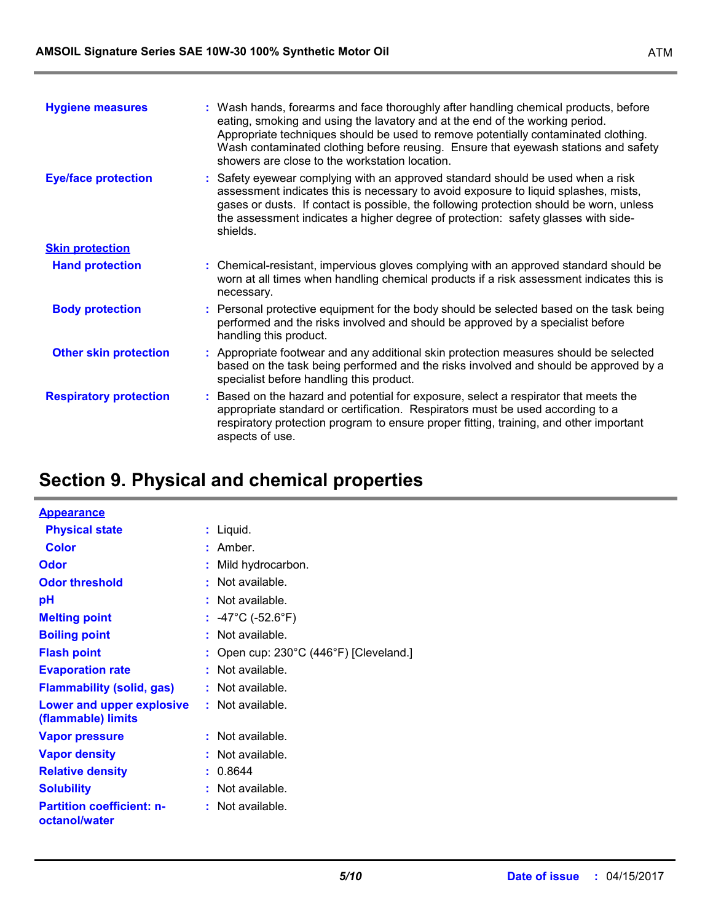| <b>Hygiene measures</b>       | : Wash hands, forearms and face thoroughly after handling chemical products, before<br>eating, smoking and using the lavatory and at the end of the working period.<br>Appropriate techniques should be used to remove potentially contaminated clothing.<br>Wash contaminated clothing before reusing. Ensure that eyewash stations and safety<br>showers are close to the workstation location. |
|-------------------------------|---------------------------------------------------------------------------------------------------------------------------------------------------------------------------------------------------------------------------------------------------------------------------------------------------------------------------------------------------------------------------------------------------|
| <b>Eye/face protection</b>    | : Safety eyewear complying with an approved standard should be used when a risk<br>assessment indicates this is necessary to avoid exposure to liquid splashes, mists,<br>gases or dusts. If contact is possible, the following protection should be worn, unless<br>the assessment indicates a higher degree of protection: safety glasses with side-<br>shields.                                |
| <b>Skin protection</b>        |                                                                                                                                                                                                                                                                                                                                                                                                   |
| <b>Hand protection</b>        | : Chemical-resistant, impervious gloves complying with an approved standard should be<br>worn at all times when handling chemical products if a risk assessment indicates this is<br>necessary.                                                                                                                                                                                                   |
| <b>Body protection</b>        | : Personal protective equipment for the body should be selected based on the task being<br>performed and the risks involved and should be approved by a specialist before<br>handling this product.                                                                                                                                                                                               |
| <b>Other skin protection</b>  | : Appropriate footwear and any additional skin protection measures should be selected<br>based on the task being performed and the risks involved and should be approved by a<br>specialist before handling this product.                                                                                                                                                                         |
| <b>Respiratory protection</b> | : Based on the hazard and potential for exposure, select a respirator that meets the<br>appropriate standard or certification. Respirators must be used according to a<br>respiratory protection program to ensure proper fitting, training, and other important<br>aspects of use.                                                                                                               |

# **Section 9. Physical and chemical properties**

| <b>Appearance</b>                                 |                                                  |
|---------------------------------------------------|--------------------------------------------------|
| <b>Physical state</b>                             | $:$ Liquid.                                      |
| <b>Color</b>                                      | : Amber.                                         |
| Odor                                              | : Mild hydrocarbon.                              |
| <b>Odor threshold</b>                             | : Not available.                                 |
| pH                                                | $:$ Not available.                               |
| <b>Melting point</b>                              | : $-47^{\circ}$ C ( $-52.6^{\circ}$ F)           |
| <b>Boiling point</b>                              | : Not available.                                 |
| <b>Flash point</b>                                | : Open cup: $230^{\circ}$ C (446°F) [Cleveland.] |
| <b>Evaporation rate</b>                           | : Not available.                                 |
| <b>Flammability (solid, gas)</b>                  | : Not available.                                 |
| Lower and upper explosive<br>(flammable) limits   | $:$ Not available.                               |
| <b>Vapor pressure</b>                             | : Not available.                                 |
| <b>Vapor density</b>                              | : Not available.                                 |
| <b>Relative density</b>                           | : 0.8644                                         |
| <b>Solubility</b>                                 | : Not available.                                 |
| <b>Partition coefficient: n-</b><br>octanol/water | $:$ Not available.                               |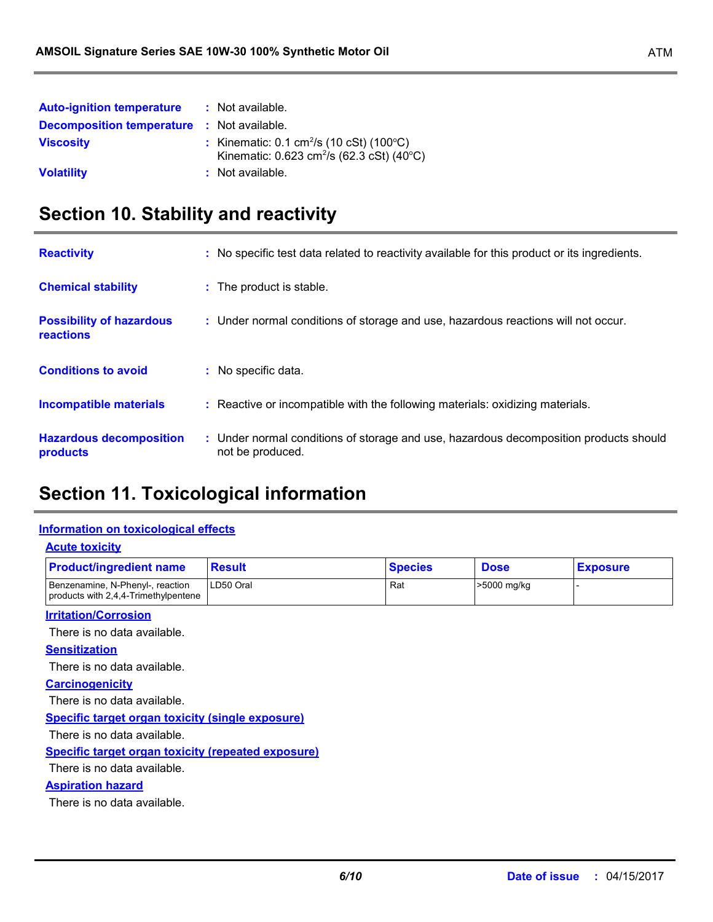| <b>Auto-ignition temperature</b>                  | : Not available.                                                                                                              |
|---------------------------------------------------|-------------------------------------------------------------------------------------------------------------------------------|
| <b>Decomposition temperature : Not available.</b> |                                                                                                                               |
| <b>Viscosity</b>                                  | : Kinematic: $0.1 \text{ cm}^2/\text{s}$ (10 cSt) (100 $^{\circ}$ C)<br>Kinematic: 0.623 cm <sup>2</sup> /s (62.3 cSt) (40°C) |
| <b>Volatility</b>                                 | : Not available.                                                                                                              |

# **Section 10. Stability and reactivity**

| <b>Reactivity</b>                            | : No specific test data related to reactivity available for this product or its ingredients.              |
|----------------------------------------------|-----------------------------------------------------------------------------------------------------------|
| <b>Chemical stability</b>                    | : The product is stable.                                                                                  |
| <b>Possibility of hazardous</b><br>reactions | : Under normal conditions of storage and use, hazardous reactions will not occur.                         |
| <b>Conditions to avoid</b>                   | : No specific data.                                                                                       |
| <b>Incompatible materials</b>                | : Reactive or incompatible with the following materials: oxidizing materials.                             |
| <b>Hazardous decomposition</b><br>products   | : Under normal conditions of storage and use, hazardous decomposition products should<br>not be produced. |

# **Section 11. Toxicological information**

### **Information on toxicological effects**

| <b>Product/ingredient name</b>                                           | <b>Result</b> | <b>Species</b> | <b>Dose</b> | <b>Exposure</b> |
|--------------------------------------------------------------------------|---------------|----------------|-------------|-----------------|
| Benzenamine, N-Phenyl-, reaction<br>products with 2,4,4-Trimethylpentene | LD50 Oral     | Rat            | >5000 mg/kg |                 |
| <b>Irritation/Corrosion</b>                                              |               |                |             |                 |
| There is no data available.                                              |               |                |             |                 |
| <b>Sensitization</b>                                                     |               |                |             |                 |
| There is no data available.                                              |               |                |             |                 |
| <b>Carcinogenicity</b>                                                   |               |                |             |                 |
| There is no data available.                                              |               |                |             |                 |
| <b>Specific target organ toxicity (single exposure)</b>                  |               |                |             |                 |
| There is no data available.                                              |               |                |             |                 |
| <b>Specific target organ toxicity (repeated exposure)</b>                |               |                |             |                 |
| There is no data available.                                              |               |                |             |                 |
| <b>Aspiration hazard</b>                                                 |               |                |             |                 |
| There is no data available.                                              |               |                |             |                 |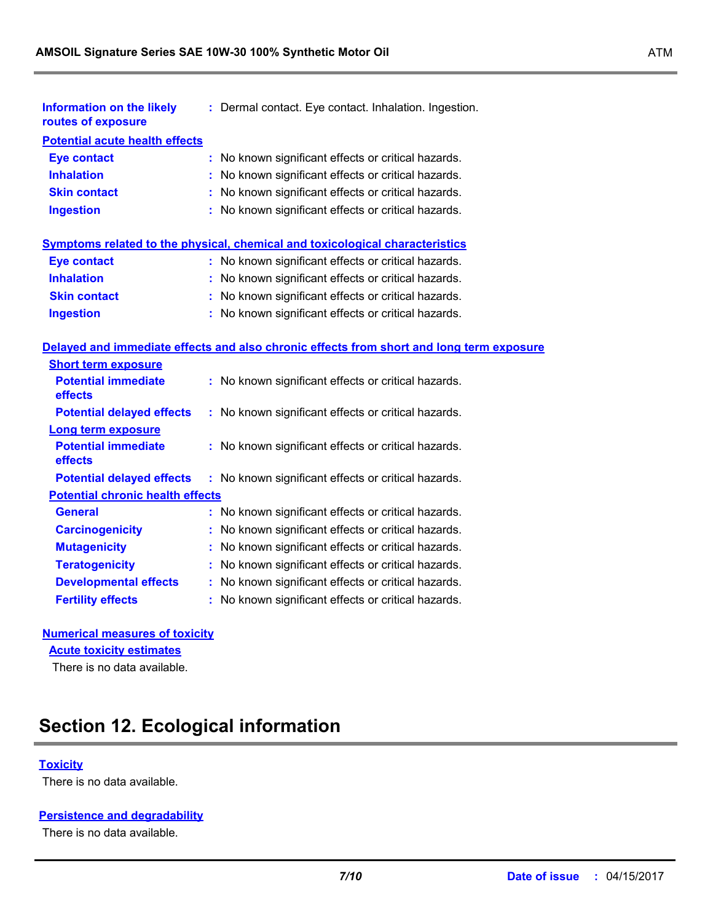| Information on the likely<br>routes of exposure | : Dermal contact. Eye contact. Inhalation. Ingestion.                                    |
|-------------------------------------------------|------------------------------------------------------------------------------------------|
| <b>Potential acute health effects</b>           |                                                                                          |
| <b>Eye contact</b>                              | : No known significant effects or critical hazards.                                      |
| <b>Inhalation</b>                               | : No known significant effects or critical hazards.                                      |
| <b>Skin contact</b>                             | : No known significant effects or critical hazards.                                      |
| <b>Ingestion</b>                                | : No known significant effects or critical hazards.                                      |
|                                                 | Symptoms related to the physical, chemical and toxicological characteristics             |
| <b>Eye contact</b>                              | : No known significant effects or critical hazards.                                      |
| <b>Inhalation</b>                               | : No known significant effects or critical hazards.                                      |
| <b>Skin contact</b>                             | : No known significant effects or critical hazards.                                      |
| <b>Ingestion</b>                                | : No known significant effects or critical hazards.                                      |
|                                                 | Delayed and immediate effects and also chronic effects from short and long term exposure |
| <b>Short term exposure</b>                      |                                                                                          |
| <b>Potential immediate</b><br>effects           | : No known significant effects or critical hazards.                                      |
| <b>Potential delayed effects</b>                | : No known significant effects or critical hazards.                                      |
| <b>Long term exposure</b>                       |                                                                                          |
| <b>Potential immediate</b><br>effects           | : No known significant effects or critical hazards.                                      |
| <b>Potential delayed effects</b>                | : No known significant effects or critical hazards.                                      |
| <b>Potential chronic health effects</b>         |                                                                                          |

| <b>General</b>               | : No known significant effects or critical hazards. |
|------------------------------|-----------------------------------------------------|
| <b>Carcinogenicity</b>       | : No known significant effects or critical hazards. |
| <b>Mutagenicity</b>          | : No known significant effects or critical hazards. |
| <b>Teratogenicity</b>        | : No known significant effects or critical hazards. |
| <b>Developmental effects</b> | : No known significant effects or critical hazards. |
| <b>Fertility effects</b>     | : No known significant effects or critical hazards. |

### **Numerical measures of toxicity**

**Acute toxicity estimates**

There is no data available.

# **Section 12. Ecological information**

### **Toxicity**

There is no data available.

### **Persistence and degradability**

There is no data available.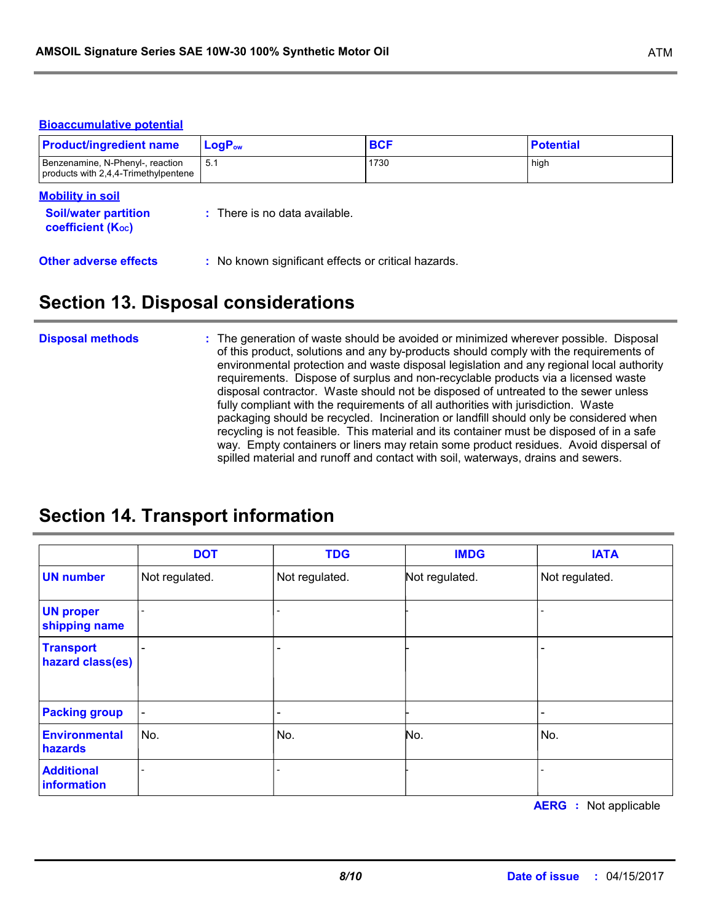#### **Bioaccumulative potential**

| <b>Product/ingredient name</b>                                                     | $LogP_{ow}$                              | <b>BCF</b> | <b>Potential</b> |
|------------------------------------------------------------------------------------|------------------------------------------|------------|------------------|
| Benzenamine, N-Phenyl-, reaction<br>products with 2,4,4-Trimethylpentene           | 5.1                                      | 1730       | high             |
| <b>Mobility in soil</b><br><b>Soil/water partition</b><br><b>coefficient (Koc)</b> | $\therefore$ There is no data available. |            |                  |

### **Section 13. Disposal considerations**

**Other adverse effects** : No known significant effects or critical hazards.

#### The generation of waste should be avoided or minimized wherever possible. Disposal of this product, solutions and any by-products should comply with the requirements of environmental protection and waste disposal legislation and any regional local authority requirements. Dispose of surplus and non-recyclable products via a licensed waste disposal contractor. Waste should not be disposed of untreated to the sewer unless fully compliant with the requirements of all authorities with jurisdiction. Waste packaging should be recycled. Incineration or landfill should only be considered when recycling is not feasible. This material and its container must be disposed of in a safe way. Empty containers or liners may retain some product residues. Avoid dispersal of spilled material and runoff and contact with soil, waterways, drains and sewers. **Disposal methods :**

### **Section 14. Transport information**

|                                      | <b>DOT</b>               | <b>TDG</b>     | <b>IMDG</b>    | <b>IATA</b>    |
|--------------------------------------|--------------------------|----------------|----------------|----------------|
| <b>UN number</b>                     | Not regulated.           | Not regulated. | Not regulated. | Not regulated. |
| <b>UN proper</b><br>shipping name    | $\overline{\phantom{0}}$ |                |                |                |
| <b>Transport</b><br>hazard class(es) | $\overline{\phantom{a}}$ |                |                |                |
| <b>Packing group</b>                 | $\blacksquare$           |                |                |                |
| <b>Environmental</b><br>hazards      | No.                      | No.            | No.            | No.            |
| <b>Additional</b><br>information     |                          |                |                |                |

**AERG :** Not applicable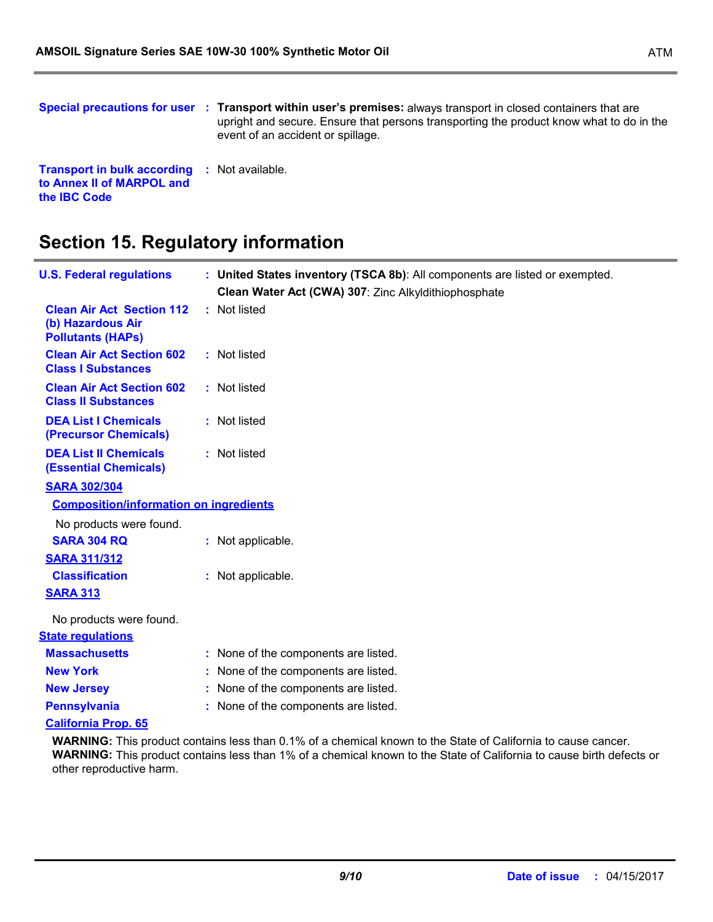|                                                                                                         | Special precautions for user : Transport within user's premises: always transport in closed containers that are<br>upright and secure. Ensure that persons transporting the product know what to do in the<br>event of an accident or spillage. |
|---------------------------------------------------------------------------------------------------------|-------------------------------------------------------------------------------------------------------------------------------------------------------------------------------------------------------------------------------------------------|
| <b>Transport in bulk according : Not available.</b><br>to Annex II of MARPOL and<br>the <b>IBC</b> Code |                                                                                                                                                                                                                                                 |

### **Section 15. Regulatory information**

| <b>U.S. Federal regulations</b>                                                   | : United States inventory (TSCA 8b): All components are listed or exempted.<br>Clean Water Act (CWA) 307: Zinc Alkyldithiophosphate |
|-----------------------------------------------------------------------------------|-------------------------------------------------------------------------------------------------------------------------------------|
| <b>Clean Air Act Section 112</b><br>(b) Hazardous Air<br><b>Pollutants (HAPs)</b> | : Not listed                                                                                                                        |
| <b>Clean Air Act Section 602</b><br><b>Class I Substances</b>                     | : Not listed                                                                                                                        |
| <b>Clean Air Act Section 602</b><br><b>Class II Substances</b>                    | : Not listed                                                                                                                        |
| <b>DEA List I Chemicals</b><br>(Precursor Chemicals)                              | : Not listed                                                                                                                        |
| <b>DEA List II Chemicals</b><br><b>(Essential Chemicals)</b>                      | : Not listed                                                                                                                        |
| <b>SARA 302/304</b>                                                               |                                                                                                                                     |
| <b>Composition/information on ingredients</b>                                     |                                                                                                                                     |
| No products were found.                                                           |                                                                                                                                     |
| <b>SARA 304 RQ</b>                                                                | : Not applicable.                                                                                                                   |
| <b>SARA 311/312</b>                                                               |                                                                                                                                     |
| <b>Classification</b>                                                             | : Not applicable.                                                                                                                   |
| <b>SARA 313</b>                                                                   |                                                                                                                                     |
| No products were found.                                                           |                                                                                                                                     |
| <b>State regulations</b>                                                          |                                                                                                                                     |
| <b>Massachusetts</b>                                                              | : None of the components are listed.                                                                                                |
| <b>New York</b>                                                                   | : None of the components are listed.                                                                                                |
| <b>New Jersey</b>                                                                 | : None of the components are listed.                                                                                                |
| <b>Pennsylvania</b>                                                               | : None of the components are listed.                                                                                                |
| <b>California Prop. 65</b>                                                        |                                                                                                                                     |
|                                                                                   |                                                                                                                                     |

**WARNING:** This product contains less than 0.1% of a chemical known to the State of California to cause cancer. **WARNING:** This product contains less than 1% of a chemical known to the State of California to cause birth defects or other reproductive harm.